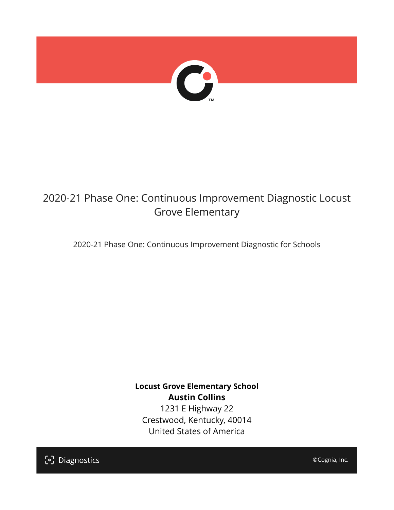

# 2020-21 Phase One: Continuous Improvement Diagnostic Locust Grove Elementary

2020-21 Phase One: Continuous Improvement Diagnostic for Schools

**Locust Grove Elementary School Austin Collins** 1231 E Highway 22 Crestwood, Kentucky, 40014 United States of America

[၁] Diagnostics

©Cognia, Inc.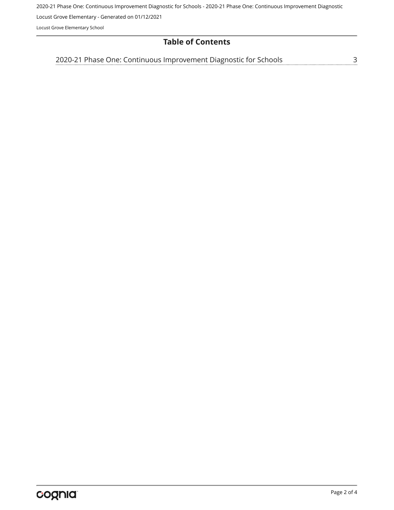2020-21 Phase One: Continuous Improvement Diagnostic for Schools - 2020-21 Phase One: Continuous Improvement Diagnostic

Locust Grove Elementary - Generated on 01/12/2021

Locust Grove Elementary School

## **Table of Contents**

[2020-21 Phase One: Continuous Improvement Diagnostic for Schools](#page-2-0)[3](#page-2-0)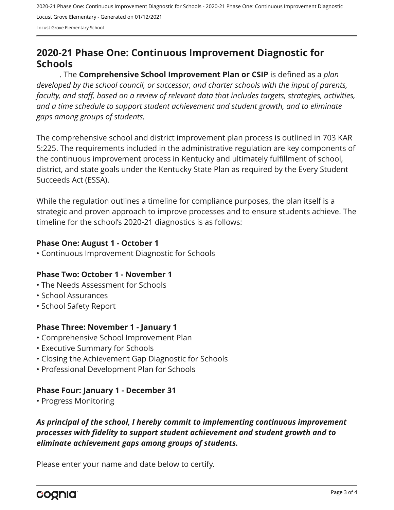2020-21 Phase One: Continuous Improvement Diagnostic for Schools - 2020-21 Phase One: Continuous Improvement Diagnostic Locust Grove Elementary - Generated on 01/12/2021 Locust Grove Elementary School

# <span id="page-2-0"></span>**2020-21 Phase One: Continuous Improvement Diagnostic for Schools**

. The **Comprehensive School Improvement Plan or CSIP** is defined as a *plan developed by the school council, or successor, and charter schools with the input of parents, faculty, and staff, based on a review of relevant data that includes targets, strategies, activities, and a time schedule to support student achievement and student growth, and to eliminate gaps among groups of students.*

The comprehensive school and district improvement plan process is outlined in 703 KAR 5:225. The requirements included in the administrative regulation are key components of the continuous improvement process in Kentucky and ultimately fulfillment of school, district, and state goals under the Kentucky State Plan as required by the Every Student Succeeds Act (ESSA).

While the regulation outlines a timeline for compliance purposes, the plan itself is a strategic and proven approach to improve processes and to ensure students achieve. The timeline for the school's 2020-21 diagnostics is as follows:

#### **Phase One: August 1 - October 1**

• Continuous Improvement Diagnostic for Schools

#### **Phase Two: October 1 - November 1**

- The Needs Assessment for Schools
- School Assurances
- School Safety Report

#### **Phase Three: November 1 - January 1**

- Comprehensive School Improvement Plan
- Executive Summary for Schools
- Closing the Achievement Gap Diagnostic for Schools
- Professional Development Plan for Schools

#### **Phase Four: January 1 - December 31**

• Progress Monitoring

## *As principal of the school, I hereby commit to implementing continuous improvement processes with fidelity to support student achievement and student growth and to eliminate achievement gaps among groups of students.*

Please enter your name and date below to certify.